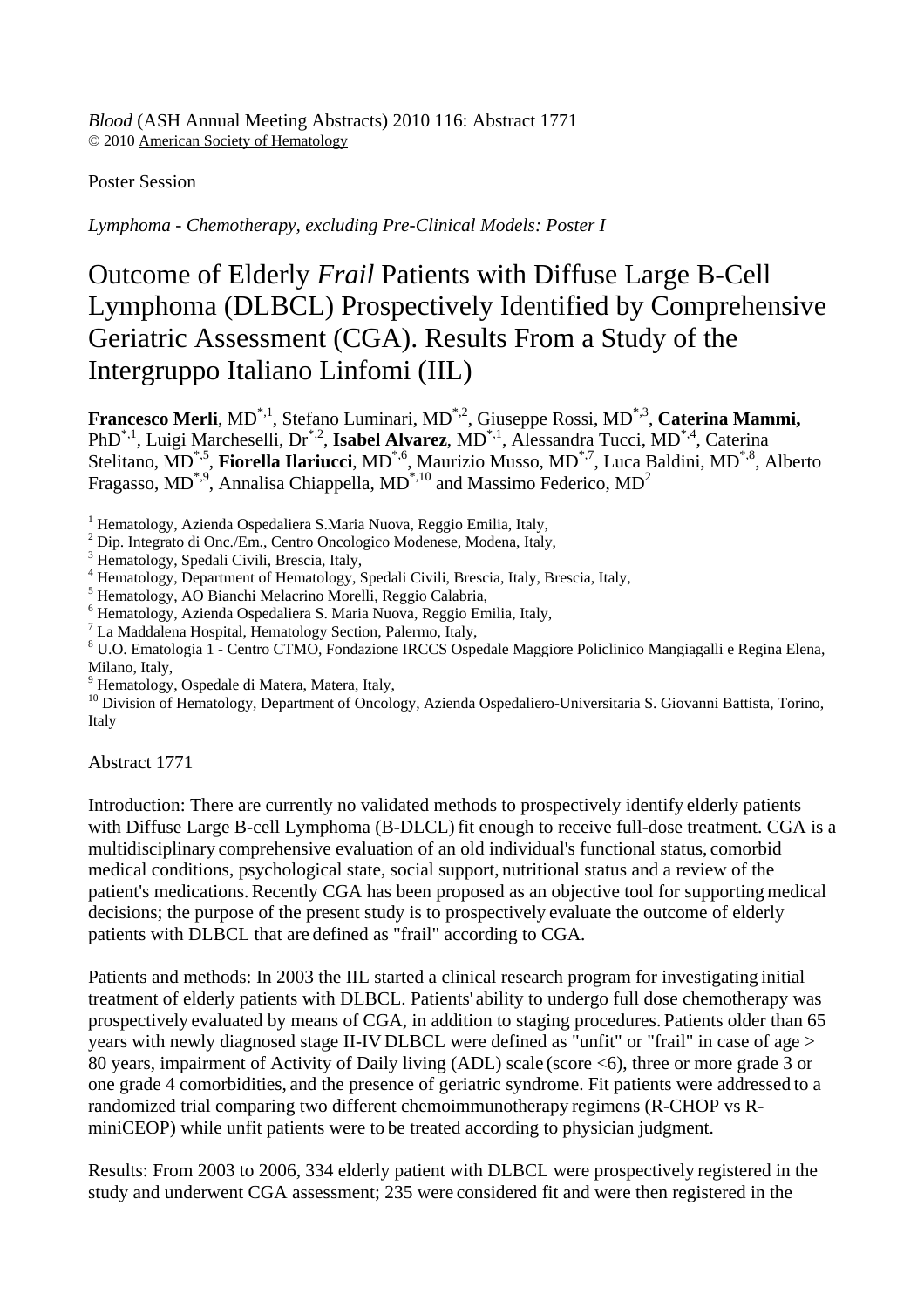*Blood* (ASH Annual Meeting Abstracts) 2010 116: Abstract 1771 © 2010 American Society of Hematology

Poster Session

*Lymphoma - Chemotherapy, excluding Pre-Clinical Models: Poster I*

## Outcome of Elderly *Frail* Patients with Diffuse Large B-Cell Lymphoma (DLBCL) Prospectively Identified by Comprehensive Geriatric Assessment (CGA). Results From a Study of the Intergruppo Italiano Linfomi (IIL)

**Francesco Merli**, MD\*,1, Stefano Luminari, MD\*,2, Giuseppe Rossi, MD\*,3, **Caterina Mammi,** PhD\*,1, Luigi Marcheselli, Dr\*,2, **Isabel Alvarez**, MD\*,1, Alessandra Tucci, MD\*,4, Caterina Stelitano, MD\*,5, **Fiorella Ilariucci**, MD\*,6, Maurizio Musso, MD\*,7, Luca Baldini, MD\*,8, Alberto Fragasso, MD<sup>\*,9</sup>, Annalisa Chiappella, MD<sup>\*,10</sup> and Massimo Federico, MD<sup>2</sup>

<sup>1</sup> Hematology, Azienda Ospedaliera S.Maria Nuova, Reggio Emilia, Italy,

- <sup>2</sup> Dip. Integrato di Onc./Em., Centro Oncologico Modenese, Modena, Italy,  $\frac{3}{2}$  Hometology, Spedali Civili, Prescia, Italy,
- Hematology, Spedali Civili, Brescia, Italy,
- 4 Hematology, Department of Hematology, Spedali Civili, Brescia, Italy, Brescia, Italy,
- 5 Hematology, AO Bianchi Melacrino Morelli, Reggio Calabria,
- 6 Hematology, Azienda Ospedaliera S. Maria Nuova, Reggio Emilia, Italy,
- <sup>7</sup> La Maddalena Hospital, Hematology Section, Palermo, Italy,
- U.O. Ematologia 1 Centro CTMO, Fondazione IRCCS Ospedale Maggiore Policlinico Mangiagalli e Regina Elena, Milano, Italy,
- 9 Hematology, Ospedale di Matera, Matera, Italy,

<sup>10</sup> Division of Hematology, Department of Oncology, Azienda Ospedaliero-Universitaria S. Giovanni Battista, Torino, Italy

Abstract 1771

Introduction: There are currently no validated methods to prospectively identify elderly patients with Diffuse Large B-cell Lymphoma (B-DLCL) fit enough to receive full-dose treatment. CGA is a multidisciplinary comprehensive evaluation of an old individual's functional status, comorbid medical conditions, psychological state, social support, nutritional status and a review of the patient's medications.Recently CGA has been proposed as an objective tool for supporting medical decisions; the purpose of the present study is to prospectively evaluate the outcome of elderly patients with DLBCL that are defined as "frail" according to CGA.

Patients and methods: In 2003 the IIL started a clinical research program for investigating initial treatment of elderly patients with DLBCL. Patients' ability to undergo full dose chemotherapy was prospectively evaluated by means of CGA, in addition to staging procedures. Patients older than 65 years with newly diagnosed stage II-IV DLBCL were defined as "unfit" or "frail" in case of age > 80 years, impairment of Activity of Daily living (ADL) scale (score <6), three or more grade 3 or one grade 4 comorbidities, and the presence of geriatric syndrome. Fit patients were addressed to a randomized trial comparing two different chemoimmunotherapy regimens (R-CHOP vs RminiCEOP) while unfit patients were to be treated according to physician judgment.

Results: From 2003 to 2006, 334 elderly patient with DLBCL were prospectively registered in the study and underwent CGA assessment; 235 were considered fit and were then registered in the